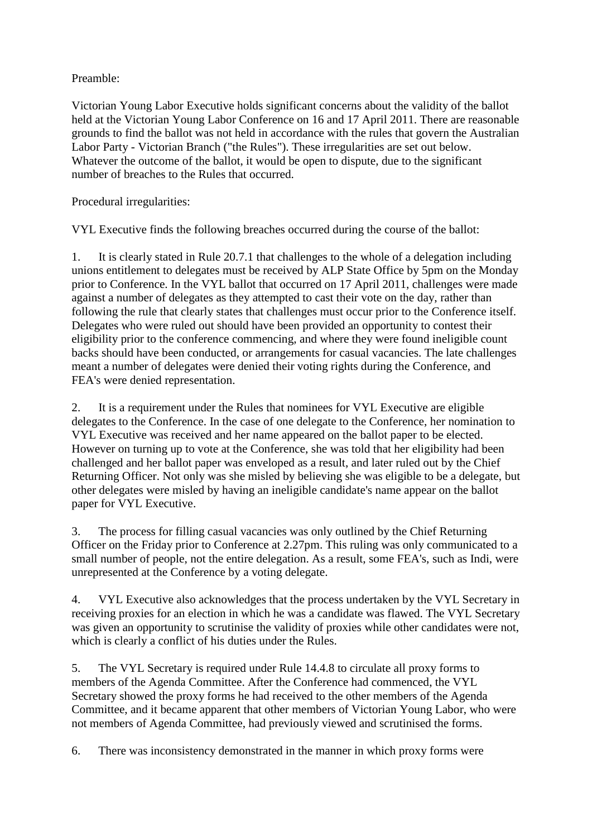Preamble:

Victorian Young Labor Executive holds significant concerns about the validity of the ballot held at the Victorian Young Labor Conference on 16 and 17 April 2011. There are reasonable grounds to find the ballot was not held in accordance with the rules that govern the Australian Labor Party - Victorian Branch ("the Rules"). These irregularities are set out below. Whatever the outcome of the ballot, it would be open to dispute, due to the significant number of breaches to the Rules that occurred.

Procedural irregularities:

VYL Executive finds the following breaches occurred during the course of the ballot:

1. It is clearly stated in Rule 20.7.1 that challenges to the whole of a delegation including unions entitlement to delegates must be received by ALP State Office by 5pm on the Monday prior to Conference. In the VYL ballot that occurred on 17 April 2011, challenges were made against a number of delegates as they attempted to cast their vote on the day, rather than following the rule that clearly states that challenges must occur prior to the Conference itself. Delegates who were ruled out should have been provided an opportunity to contest their eligibility prior to the conference commencing, and where they were found ineligible count backs should have been conducted, or arrangements for casual vacancies. The late challenges meant a number of delegates were denied their voting rights during the Conference, and FEA's were denied representation.

2. It is a requirement under the Rules that nominees for VYL Executive are eligible delegates to the Conference. In the case of one delegate to the Conference, her nomination to VYL Executive was received and her name appeared on the ballot paper to be elected. However on turning up to vote at the Conference, she was told that her eligibility had been challenged and her ballot paper was enveloped as a result, and later ruled out by the Chief Returning Officer. Not only was she misled by believing she was eligible to be a delegate, but other delegates were misled by having an ineligible candidate's name appear on the ballot paper for VYL Executive.

3. The process for filling casual vacancies was only outlined by the Chief Returning Officer on the Friday prior to Conference at 2.27pm. This ruling was only communicated to a small number of people, not the entire delegation. As a result, some FEA's, such as Indi, were unrepresented at the Conference by a voting delegate.

4. VYL Executive also acknowledges that the process undertaken by the VYL Secretary in receiving proxies for an election in which he was a candidate was flawed. The VYL Secretary was given an opportunity to scrutinise the validity of proxies while other candidates were not, which is clearly a conflict of his duties under the Rules.

5. The VYL Secretary is required under Rule 14.4.8 to circulate all proxy forms to members of the Agenda Committee. After the Conference had commenced, the VYL Secretary showed the proxy forms he had received to the other members of the Agenda Committee, and it became apparent that other members of Victorian Young Labor, who were not members of Agenda Committee, had previously viewed and scrutinised the forms.

6. There was inconsistency demonstrated in the manner in which proxy forms were